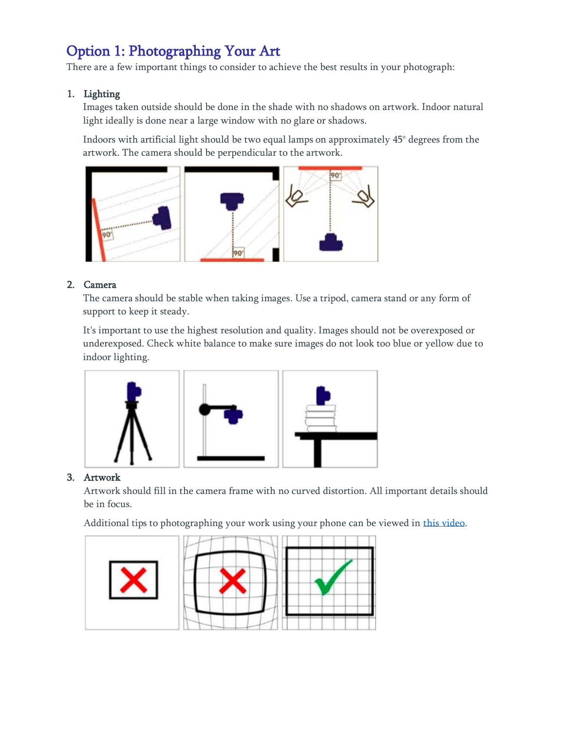## Option 1: Photographing Your Art

There are a few important things to consider to achieve the best results in your photograph:

### 1. Lighting

Images taken outside should be done in the shade with no shadows on artwork. Indoor natural light ideally is done near a large window with no glare or shadows.

Indoors with artificial light should be two equal lamps on approximately 45° degrees from the artwork. The camera should be perpendicular to the artwork.



### 2. Camera

The camera should be stable when taking images. Use a tripod, camera stand or any form of support to keep it steady.

It's important to use the highest resolution and quality. Images should not be overexposed or underexposed. Check white balance to make sure images do not look too blue or yellow due to indoor lighting.



### 3. Artwork

Artwork should fill in the camera frame with no curved distortion. All important details should be in focus.

Additional tips to photographing your work using your phone can be viewed in [this video.](https://youtu.be/S0g4a1Ge-Ds)